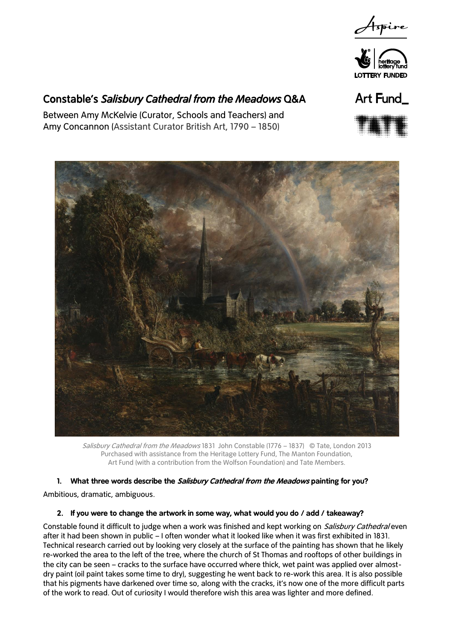



# Constable's *Salisbury Cathedral from the Meadows* Q&A

Between Amy McKelvie (Curator, Schools and Teachers) and Amy Concannon (Assistant Curator British Art, 1790 – 1850)







Salisbury Cathedral from the Meadows 1831 John Constable (1776 – 1837) © Tate, London 2013 Purchased with assistance from the Heritage Lottery Fund, The Manton Foundation, Art Fund (with a contribution from the Wolfson Foundation) and Tate Members.

# **1. What three words describe the Salisbury Cathedral from the Meadows painting for you?**

Ambitious, dramatic, ambiguous.

# **2. If you were to change the artwork in some way, what would you do / add / takeaway?**

Constable found it difficult to judge when a work was finished and kept working on *Salisbury Cathedral* even after it had been shown in public – I often wonder what it looked like when it was first exhibited in 1831. Technical research carried out by looking very closely at the surface of the painting has shown that he likely re-worked the area to the left of the tree, where the church of St Thomas and rooftops of other buildings in the city can be seen – cracks to the surface have occurred where thick, wet paint was applied over almostdry paint (oil paint takes some time to dry), suggesting he went back to re-work this area. It is also possible that his pigments have darkened over time so, along with the cracks, it's now one of the more difficult parts of the work to read. Out of curiosity I would therefore wish this area was lighter and more defined.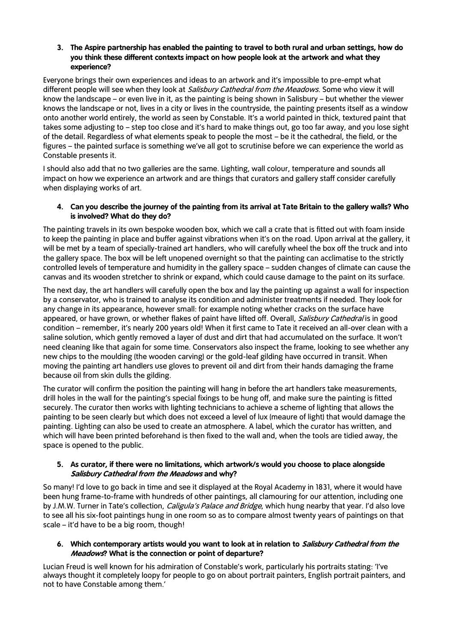# **3. The Aspire partnership has enabled the painting to travel to both rural and urban settings, how do you think these different contexts impact on how people look at the artwork and what they experience?**

Everyone brings their own experiences and ideas to an artwork and it's impossible to pre-empt what different people will see when they look at Salisbury Cathedral from the Meadows. Some who view it will know the landscape – or even live in it, as the painting is being shown in Salisbury – but whether the viewer knows the landscape or not, lives in a city or lives in the countryside, the painting presents itself as a window onto another world entirely, the world as seen by Constable. It's a world painted in thick, textured paint that takes some adjusting to – step too close and it's hard to make things out, go too far away, and you lose sight of the detail. Regardless of what elements speak to people the most – be it the cathedral, the field, or the figures – the painted surface is something we've all got to scrutinise before we can experience the world as Constable presents it.

I should also add that no two galleries are the same. Lighting, wall colour, temperature and sounds all impact on how we experience an artwork and are things that curators and gallery staff consider carefully when displaying works of art.

# **4. Can you describe the journey of the painting from its arrival at Tate Britain to the gallery walls? Who is involved? What do they do?**

The painting travels in its own bespoke wooden box, which we call a crate that is fitted out with foam inside to keep the painting in place and buffer against vibrations when it's on the road. Upon arrival at the gallery, it will be met by a team of specially-trained art handlers, who will carefully wheel the box off the truck and into the gallery space. The box will be left unopened overnight so that the painting can acclimatise to the strictly controlled levels of temperature and humidity in the gallery space – sudden changes of climate can cause the canvas and its wooden stretcher to shrink or expand, which could cause damage to the paint on its surface.

The next day, the art handlers will carefully open the box and lay the painting up against a wall for inspection by a conservator, who is trained to analyse its condition and administer treatments if needed. They look for any change in its appearance, however small: for example noting whether cracks on the surface have appeared, or have grown, or whether flakes of paint have lifted off. Overall, Salisbury Cathedral is in good condition – remember, it's nearly 200 years old! When it first came to Tate it received an all-over clean with a saline solution, which gently removed a layer of dust and dirt that had accumulated on the surface. It won't need cleaning like that again for some time. Conservators also inspect the frame, looking to see whether any new chips to the moulding (the wooden carving) or the gold-leaf gilding have occurred in transit. When moving the painting art handlers use gloves to prevent oil and dirt from their hands damaging the frame because oil from skin dulls the gilding.

The curator will confirm the position the painting will hang in before the art handlers take measurements, drill holes in the wall for the painting's special fixings to be hung off, and make sure the painting is fitted securely. The curator then works with lighting technicians to achieve a scheme of lighting that allows the painting to be seen clearly but which does not exceed a level of lux (meaure of light) that would damage the painting. Lighting can also be used to create an atmosphere. A label, which the curator has written, and which will have been printed beforehand is then fixed to the wall and, when the tools are tidied away, the space is opened to the public.

# **5. As curator, if there were no limitations, which artwork/s would you choose to place alongside Salisbury Cathedral from the Meadows and why?**

So many! I'd love to go back in time and see it displayed at the Royal Academy in 1831, where it would have been hung frame-to-frame with hundreds of other paintings, all clamouring for our attention, including one by J.M.W. Turner in Tate's collection, *Caligula's Palace and Bridge*, which hung nearby that year. I'd also love to see all his six-foot paintings hung in one room so as to compare almost twenty years of paintings on that scale – it'd have to be a big room, though!

# **6. Which contemporary artists would you want to look at in relation to Salisbury Cathedral from the Meadows? What is the connection or point of departure?**

Lucian Freud is well known for his admiration of Constable's work, particularly his portraits stating: 'I've always thought it completely loopy for people to go on about portrait painters, English portrait painters, and not to have Constable among them.'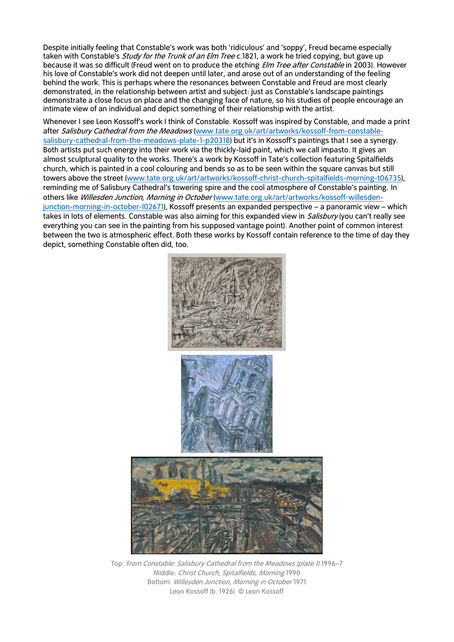Despite initially feeling that Constable's work was both 'ridiculous' and 'soppy', Freud became especially taken with Constable's *Study for the Trunk of an Elm Tree* c.1821, a work he tried copying, but gave up because it was so difficult (Freud went on to produce the etching *Elm Tree after Constable* in 2003). However his love of Constable's work did not deepen until later, and arose out of an understanding of the feeling behind the work. This is perhaps where the resonances between Constable and Freud are most clearly demonstrated, in the relationship between artist and subject: just as Constable's landscape paintings demonstrate a close focus on place and the changing face of nature, so his studies of people encourage an intimate view of an individual and depict something of their relationship with the artist.

Whenever I see Leon Kossoff's work I think of Constable. Kossoff was inspired by Constable, and made a print after Salisbury Cathedral from the Meadows [\(www.tate.org.uk/art/artworks/kossoff-from-constable](http://www.tate.org.uk/art/artworks/kossoff-from-constable-salisbury-cathedral-from-the-meadows-plate-1-p20318)[salisbury-cathedral-from-the-meadows-plate-1-p20318\)](http://www.tate.org.uk/art/artworks/kossoff-from-constable-salisbury-cathedral-from-the-meadows-plate-1-p20318) but it's in Kossoff's paintings that I see a synergy. Both artists put such energy into their work via the thickly-laid paint, which we call impasto. It gives an almost sculptural quality to the works. There's a work by Kossoff in Tate's collection featuring Spitalfields church, which is painted in a cool colouring and bends so as to be seen within the square canvas but still towers above the street [\(www.tate.org.uk/art/artworks/kossoff-christ-church-spitalfields-morning-t06735\),](http://www.tate.org.uk/art/artworks/kossoff-christ-church-spitalfields-morning-t06735) reminding me of Salisbury Cathedral's towering spire and the cool atmosphere of Constable's painting. In others like Willesden Junction, Morning in October [\(www.tate.org.uk/art/artworks/kossoff-willesden](http://www.tate.org.uk/art/artworks/kossoff-willesden-junction-morning-in-october-l02671)[junction-morning-in-october-l02671\)](http://www.tate.org.uk/art/artworks/kossoff-willesden-junction-morning-in-october-l02671), Kossoff presents an expanded perspective – a panoramic view – which takes in lots of elements. Constable was also aiming for this expanded view in *Salisbury* (you can't really see everything you can see in the painting from his supposed vantage point). Another point of common interest between the two is atmospheric effect. Both these works by Kossoff contain reference to the time of day they depict, something Constable often did, too.



Top: From Constable: Salisbury Cathedral from the Meadows (plate 1) 1996–7 Middle: Christ Church, Spitalfields, Morning 1990 Bottom: Willesden Junction, Morning in October 1971 [Leon Kossoff](http://www.tate.org.uk/art/artists/leon-kossoff-1436) (b. 1926) [© Leon Kossoff](http://www.tate.org.uk/about/who-we-are/policies-and-procedures/website-terms-use/copyright-and-permissions)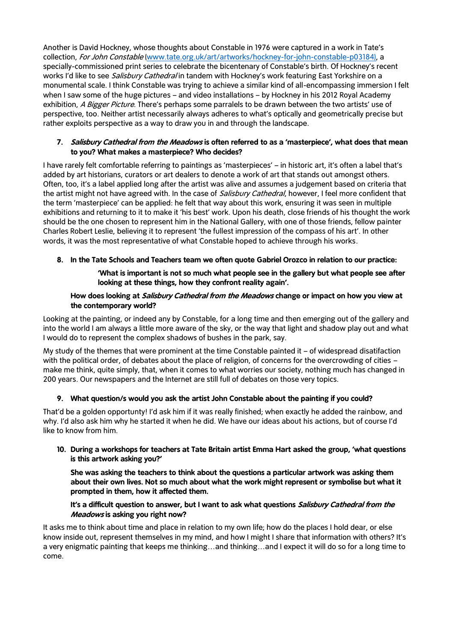Another is David Hockney, whose thoughts about Constable in 1976 were captured in a work in Tate's collection, For John Constable [\(www.tate.org.uk/art/artworks/hockney-for-john-constable-p03184\)](http://www.tate.org.uk/art/artworks/hockney-for-john-constable-p03184), a specially-commissioned print series to celebrate the bicentenary of Constable's birth. Of Hockney's recent works I'd like to see Salisbury Cathedral in tandem with Hockney's work featuring East Yorkshire on a monumental scale. I think Constable was trying to achieve a similar kind of all-encompassing immersion I felt when I saw some of the huge pictures – and video installations – by Hockney in his 2012 Royal Academy exhibition, A Bigger Picture. There's perhaps some parralels to be drawn between the two artists' use of perspective, too. Neither artist necessarily always adheres to what's optically and geometrically precise but rather exploits perspective as a way to draw you in and through the landscape.

### **7. Salisbury Cathedral from the Meadows is often referred to as a 'masterpiece', what does that mean to you? What makes a masterpiece? Who decides?**

I have rarely felt comfortable referring to paintings as 'masterpieces' – in historic art, it's often a label that's added by art historians, curators or art dealers to denote a work of art that stands out amongst others. Often, too, it's a label applied long after the artist was alive and assumes a judgement based on criteria that the artist might not have agreed with. In the case of *Salisbury Cathedral*, however, I feel more confident that the term 'masterpiece' can be applied: he felt that way about this work, ensuring it was seen in multiple exhibitions and returning to it to make it 'his best' work. Upon his death, close friends of his thought the work should be the one chosen to represent him in the National Gallery, with one of those friends, fellow painter Charles Robert Leslie, believing it to represent 'the fullest impression of the compass of his art'. In other words, it was the most representative of what Constable hoped to achieve through his works.

# **8. In the Tate Schools and Teachers team we often quote Gabriel Orozco in relation to our practice:**

# **'What is important is not so much what people see in the gallery but what people see after looking at these things, how they confront reality again'.**

### **How does looking at Salisbury Cathedral from the Meadows change or impact on how you view at the contemporary world?**

Looking at the painting, or indeed any by Constable, for a long time and then emerging out of the gallery and into the world I am always a little more aware of the sky, or the way that light and shadow play out and what I would do to represent the complex shadows of bushes in the park, say.

My study of the themes that were prominent at the time Constable painted it – of widespread disatifaction with the political order, of debates about the place of religion, of concerns for the overcrowding of cities – make me think, quite simply, that, when it comes to what worries our society, nothing much has changed in 200 years. Our newspapers and the Internet are still full of debates on those very topics.

# **9. What question/s would you ask the artist John Constable about the painting if you could?**

That'd be a golden opportunty! I'd ask him if it was really finished; when exactly he added the rainbow, and why. I'd also ask him why he started it when he did. We have our ideas about his actions, but of course I'd like to know from him.

# **10. During a workshops for teachers at Tate Britain artist Emma Hart asked the group, 'what questions is this artwork asking you?'**

**She was asking the teachers to think about the questions a particular artwork was asking them about their own lives. Not so much about what the work might represent or symbolise but what it prompted in them, how it affected them.** 

#### **It's a difficult question to answer, but I want to ask what questions Salisbury Cathedral from the Meadows is asking you right now?**

It asks me to think about time and place in relation to my own life; how do the places I hold dear, or else know inside out, represent themselves in my mind, and how I might I share that information with others? It's a very enigmatic painting that keeps me thinking…and thinking…and I expect it will do so for a long time to come.